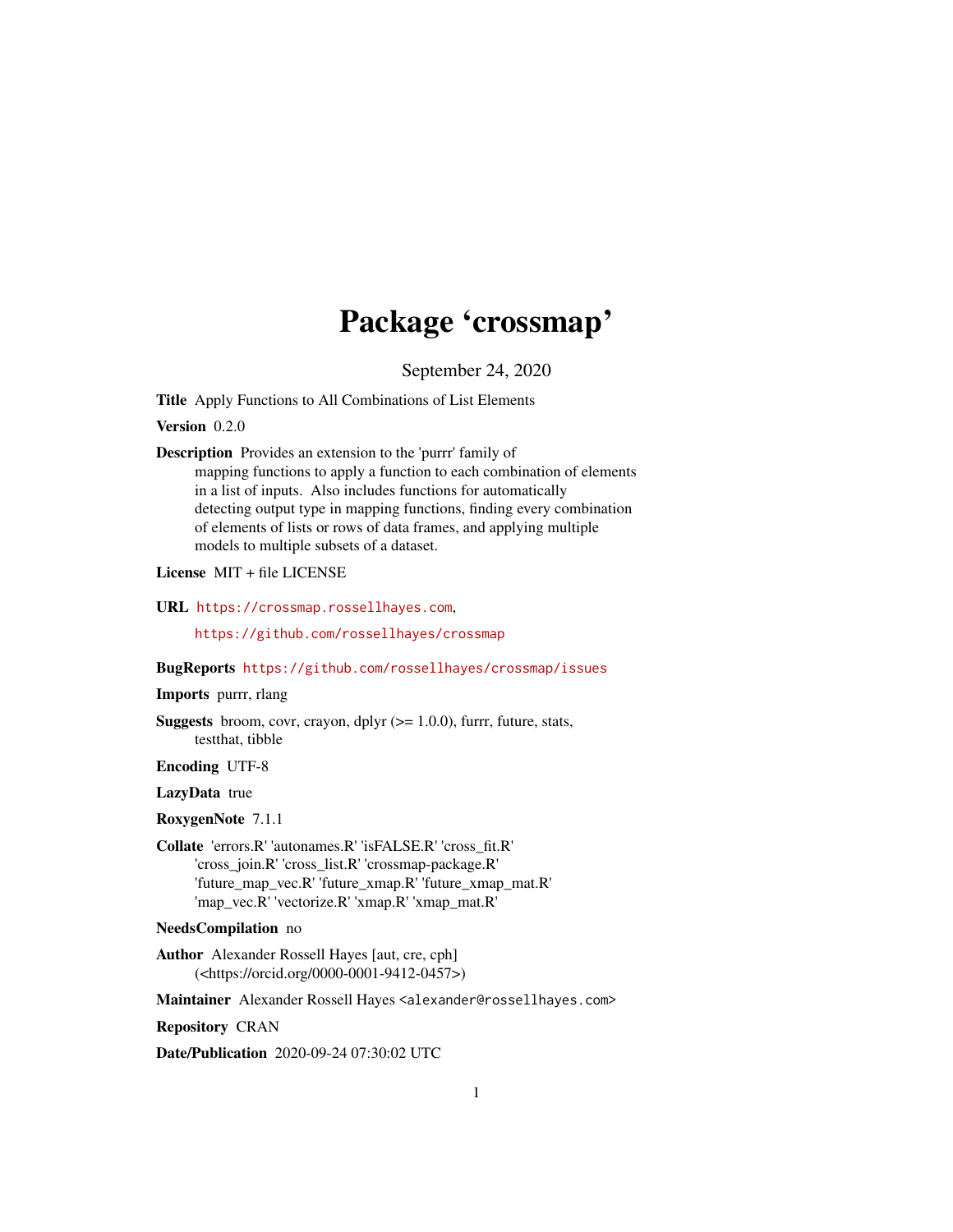# Package 'crossmap'

September 24, 2020

<span id="page-0-0"></span>Title Apply Functions to All Combinations of List Elements

Version 0.2.0

Description Provides an extension to the 'purrr' family of mapping functions to apply a function to each combination of elements in a list of inputs. Also includes functions for automatically detecting output type in mapping functions, finding every combination of elements of lists or rows of data frames, and applying multiple models to multiple subsets of a dataset.

License MIT + file LICENSE

URL <https://crossmap.rossellhayes.com>,

<https://github.com/rossellhayes/crossmap>

#### BugReports <https://github.com/rossellhayes/crossmap/issues>

#### Imports purrr, rlang

**Suggests** broom, covr, crayon, dplyr  $(>= 1.0.0)$ , furrr, future, stats, testthat, tibble

Encoding UTF-8

#### LazyData true

RoxygenNote 7.1.1

Collate 'errors.R' 'autonames.R' 'isFALSE.R' 'cross\_fit.R' 'cross\_join.R' 'cross\_list.R' 'crossmap-package.R' 'future\_map\_vec.R' 'future\_xmap.R' 'future\_xmap\_mat.R' 'map\_vec.R' 'vectorize.R' 'xmap.R' 'xmap\_mat.R'

#### NeedsCompilation no

Author Alexander Rossell Hayes [aut, cre, cph] (<https://orcid.org/0000-0001-9412-0457>)

Maintainer Alexander Rossell Hayes <alexander@rossellhayes.com>

Repository CRAN

Date/Publication 2020-09-24 07:30:02 UTC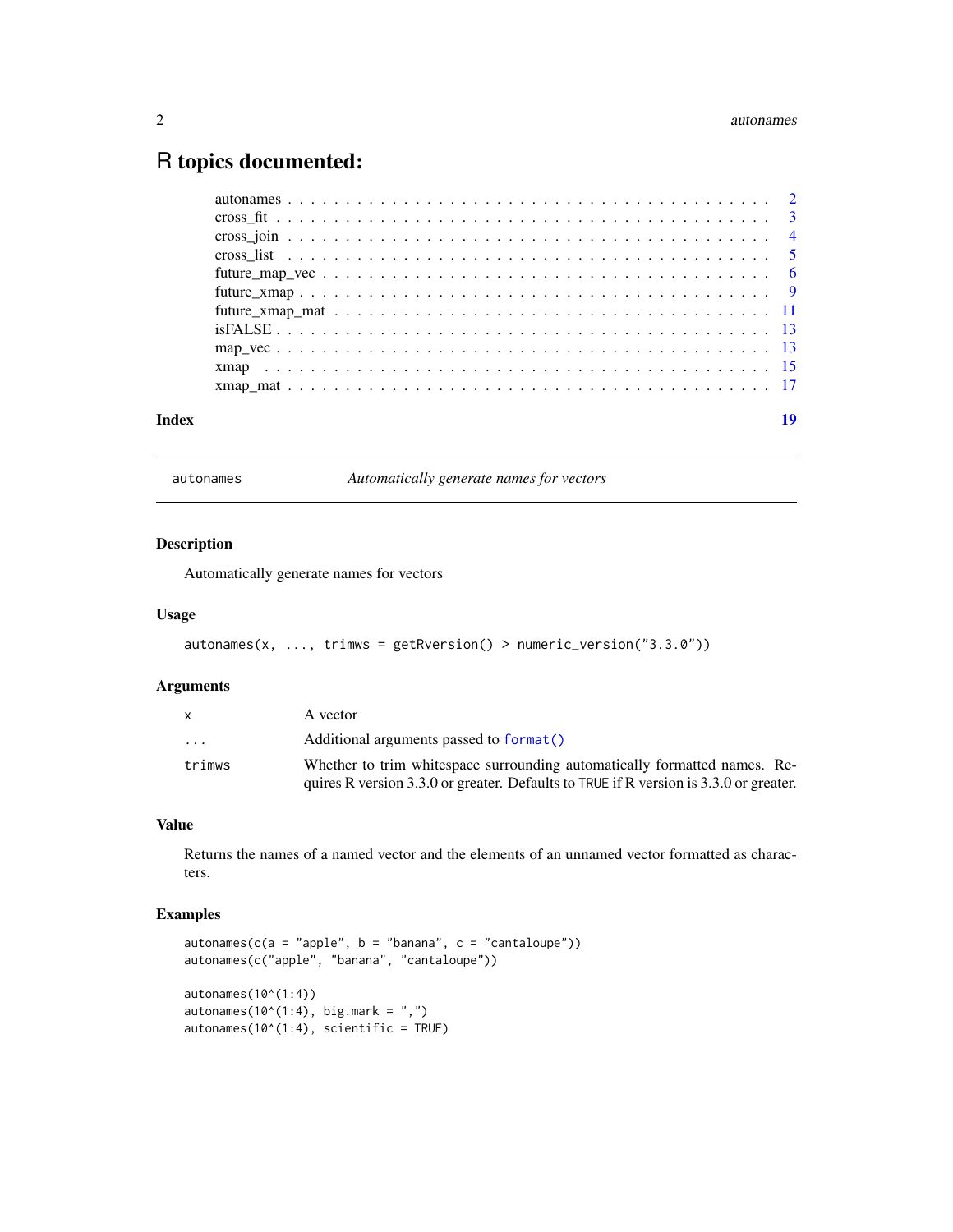# <span id="page-1-0"></span>R topics documented:

| Index | 19 |
|-------|----|
|       |    |
|       |    |
|       |    |
|       |    |
|       |    |
|       |    |
|       |    |
|       |    |
|       |    |
|       |    |
|       |    |

autonames *Automatically generate names for vectors*

# Description

Automatically generate names for vectors

#### Usage

```
autonames(x, ..., trimws = getRversion() > numeric_version("3.3.0"))
```
#### Arguments

|                         | A vector                                                                              |
|-------------------------|---------------------------------------------------------------------------------------|
| $\cdot$ $\cdot$ $\cdot$ | Additional arguments passed to format()                                               |
| trimws                  | Whether to trim white space surrounding automatically formatted names. Re-            |
|                         | quires R version 3.3.0 or greater. Defaults to TRUE if R version is 3.3.0 or greater. |

#### Value

Returns the names of a named vector and the elements of an unnamed vector formatted as characters.

```
autonames(c(a = "apple", b = "banana", c = "cantaloupe"))autonames(c("apple", "banana", "cantaloupe"))
autonames(10^(1:4))
autonames(10^*(1:4), big.mark = ",")
autonames(10^(1:4), scientific = TRUE)
```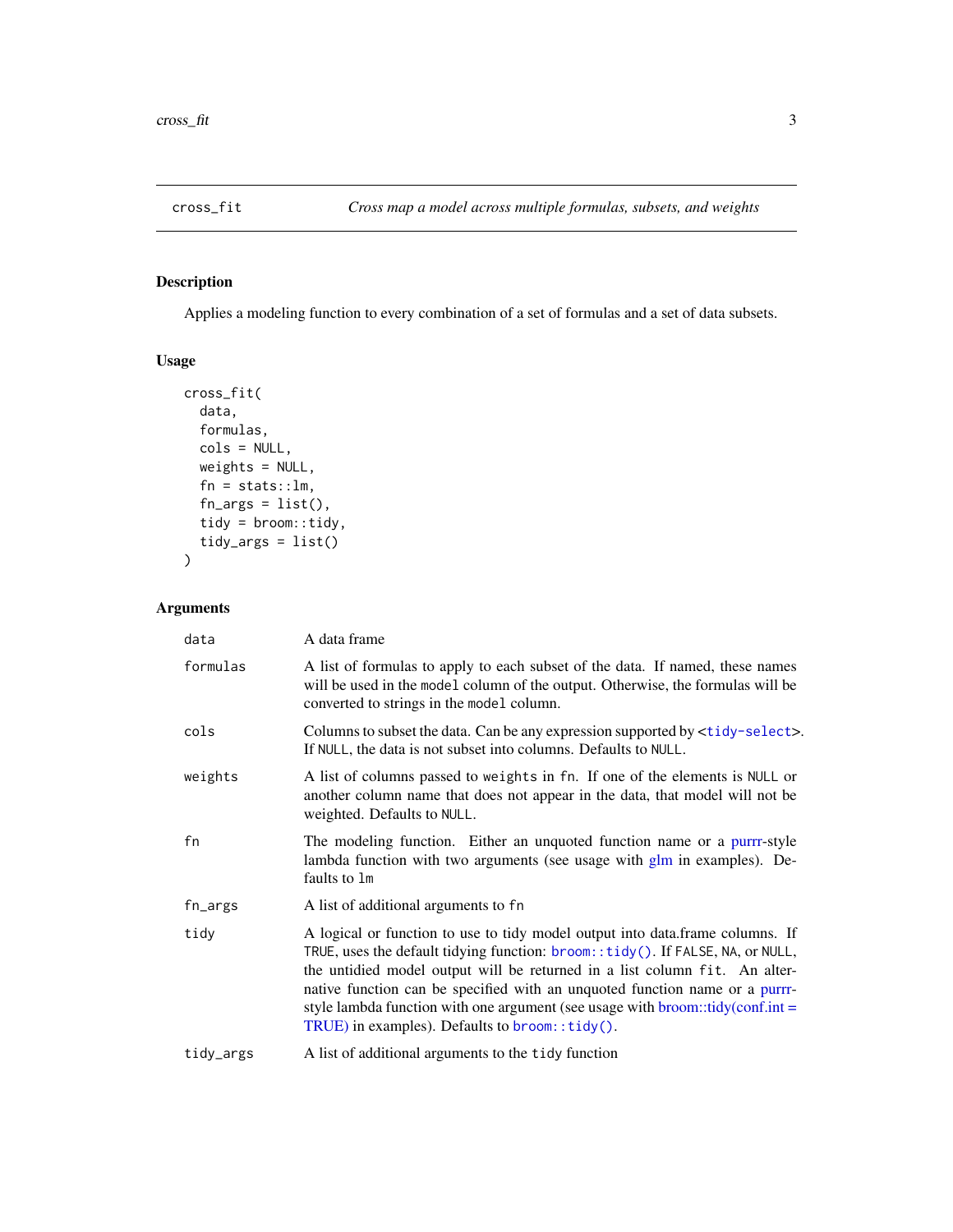<span id="page-2-1"></span><span id="page-2-0"></span>

# Description

Applies a modeling function to every combination of a set of formulas and a set of data subsets.

# Usage

```
cross_fit(
  data,
  formulas,
  cols = NULL,
  weights = NULL,
  fn = stats::lm,fn_{args} = list(),
  tidy = broom::tidy,
  tidy_args = list()
)
```

| data      | A data frame                                                                                                                                                                                                                                                                                                                                                                                                                                                        |
|-----------|---------------------------------------------------------------------------------------------------------------------------------------------------------------------------------------------------------------------------------------------------------------------------------------------------------------------------------------------------------------------------------------------------------------------------------------------------------------------|
| formulas  | A list of formulas to apply to each subset of the data. If named, these names<br>will be used in the model column of the output. Otherwise, the formulas will be<br>converted to strings in the model column.                                                                                                                                                                                                                                                       |
| cols      | Columns to subset the data. Can be any expression supported by <tidy-select>.<br/>If NULL, the data is not subset into columns. Defaults to NULL.</tidy-select>                                                                                                                                                                                                                                                                                                     |
| weights   | A list of columns passed to weights in fn. If one of the elements is NULL or<br>another column name that does not appear in the data, that model will not be<br>weighted. Defaults to NULL.                                                                                                                                                                                                                                                                         |
| fn        | The modeling function. Either an unquoted function name or a purrr-style<br>lambda function with two arguments (see usage with glm in examples). De-<br>faults to 1m                                                                                                                                                                                                                                                                                                |
| fn_args   | A list of additional arguments to fn                                                                                                                                                                                                                                                                                                                                                                                                                                |
| tidy      | A logical or function to use to tidy model output into data.frame columns. If<br>TRUE, uses the default tidying function: broom::tidy(). If FALSE, NA, or NULL,<br>the untidied model output will be returned in a list column fit. An alter-<br>native function can be specified with an unquoted function name or a purrr-<br>style lambda function with one argument (see usage with $b$ room::tidy(conf.int =<br>TRUE) in examples). Defaults to broom::tidy(). |
| tidy_args | A list of additional arguments to the tidy function                                                                                                                                                                                                                                                                                                                                                                                                                 |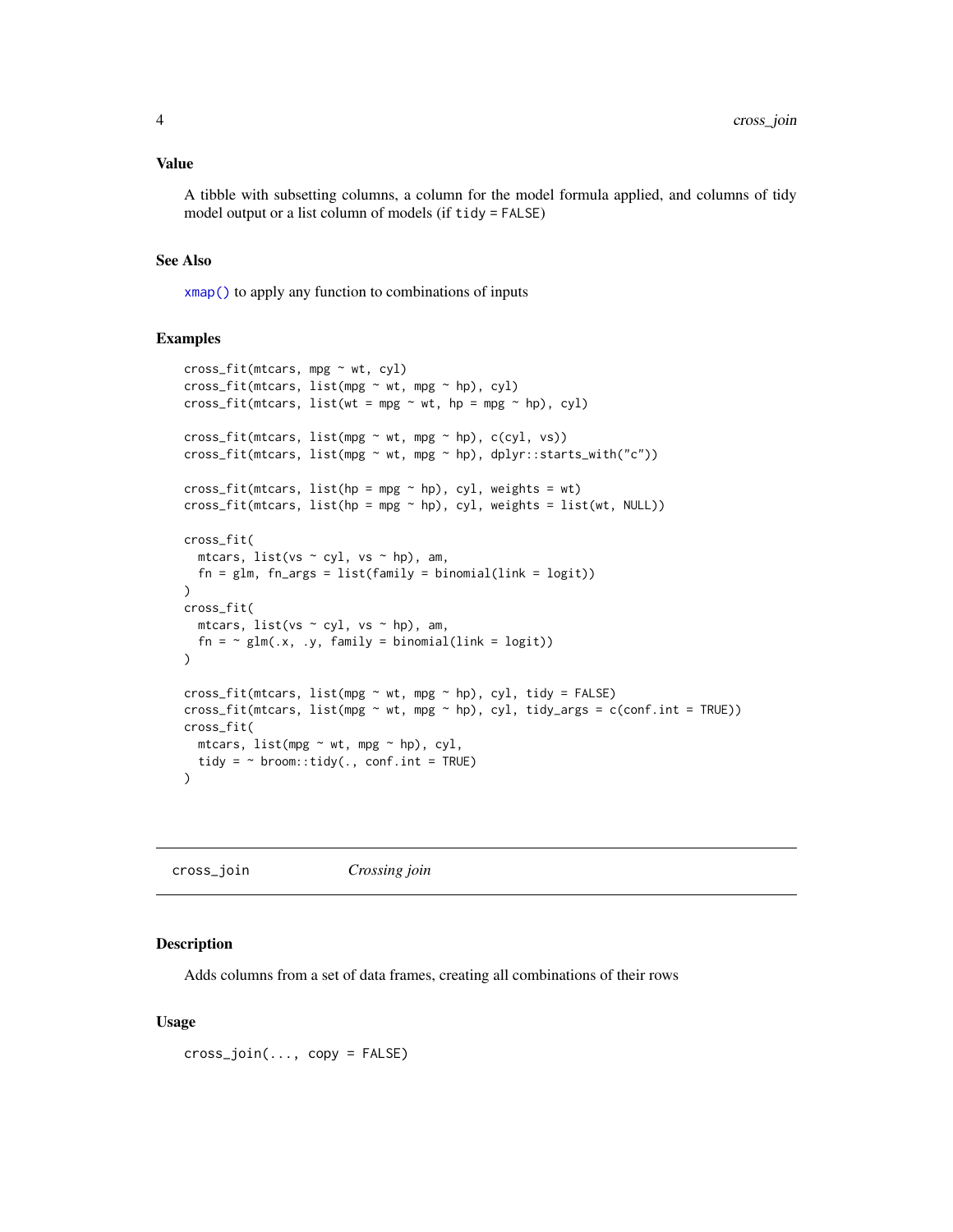<span id="page-3-0"></span>A tibble with subsetting columns, a column for the model formula applied, and columns of tidy model output or a list column of models (if tidy = FALSE)

#### See Also

[xmap\(\)](#page-14-1) to apply any function to combinations of inputs

#### Examples

```
cross_fit(mtcars, mpg ~ wt, cyl)
cross_fit(mtcars, list(mpg ~ wt, mpg ~ hp), cyl)
cross_fit(mtcars, list(wt = mpg \sim wt, hp = mpg \sim hp), cyl)
cross_fit(mtcars, list(mpg ~ wt, mpg ~ hp), c(cyl, vs))
cross_fit(mtcars, list(mpg ~ wt, mpg ~ hp), dplyr::starts_with("c"))
cross_fit(mtcars, list(hp = mpg \sim hp), cyl, weights = wt)
cross_fit(mtcars, list(hp = mp * hp), cyl, weights = list(wt, NULL))cross_fit(
  mtcars, list(vs ~ cyl, vs ~ hp), am,
  fn = glm, fn_{args} = list(family = binomial(link = logit)))
cross_fit(
 mtcars, list(vs \sim cyl, vs \sim hp), am,
  fn = \sim glm(.x, .y, family = binomial(link = logit))
)
cross_fit(mtcars, list(mpg \sim wt, mpg \sim hp), cyl, tidy = FALSE)
cross_fit(mtcars, list(mpg \sim wt, mpg \sim hp), cyl, tidy_args = c(conf.int = TRUE))
cross_fit(
  mtcars, list(mpg ~ wt, mpg ~ hp), cyl,
  tidy = \sim broom::tidy(., conf.int = TRUE)
\lambda
```
<span id="page-3-1"></span>

| cross_join | Crossing join |
|------------|---------------|

#### **Description**

Adds columns from a set of data frames, creating all combinations of their rows

#### Usage

cross\_join(..., copy = FALSE)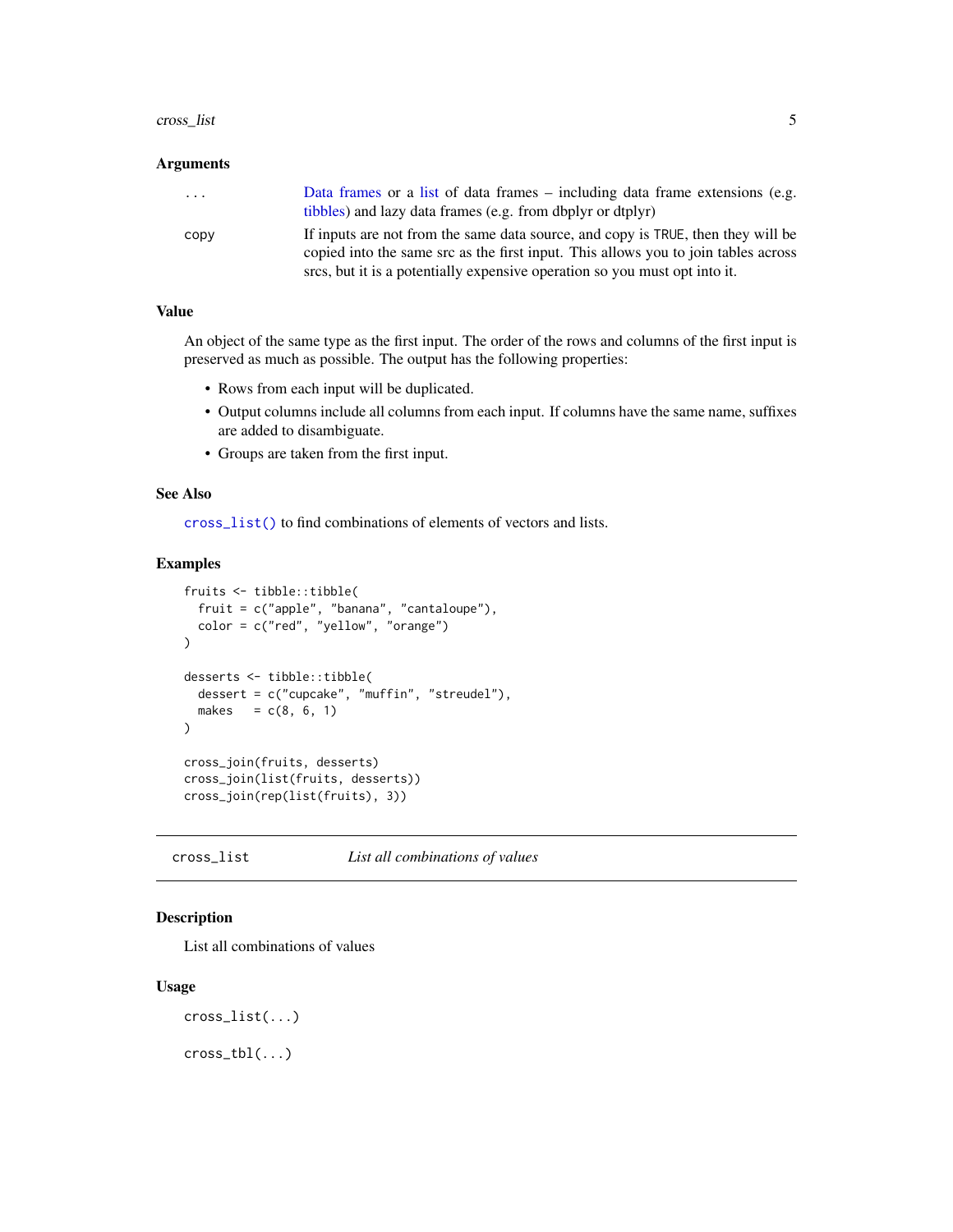#### <span id="page-4-0"></span>cross\_list 5

#### Arguments

| .    | Data frames or a list of data frames – including data frame extensions (e.g.<br>tibbles) and lazy data frames (e.g. from dbplyr or dtplyr)                             |
|------|------------------------------------------------------------------------------------------------------------------------------------------------------------------------|
| copy | If inputs are not from the same data source, and copy is TRUE, then they will be<br>copied into the same src as the first input. This allows you to join tables across |
|      | sites, but it is a potentially expensive operation so you must opt into it.                                                                                            |

#### Value

An object of the same type as the first input. The order of the rows and columns of the first input is preserved as much as possible. The output has the following properties:

- Rows from each input will be duplicated.
- Output columns include all columns from each input. If columns have the same name, suffixes are added to disambiguate.
- Groups are taken from the first input.

#### See Also

[cross\\_list\(\)](#page-4-1) to find combinations of elements of vectors and lists.

### Examples

```
fruits <- tibble::tibble(
  fruit = c("apple", "banana", "cantaloupe"),
  color = c("red", "yellow", "orange")
)
desserts <- tibble::tibble(
  dessert = c("cupcake", "muffin", "streudel"),
  makes = c(8, 6, 1))
cross_join(fruits, desserts)
cross_join(list(fruits, desserts))
cross_join(rep(list(fruits), 3))
```
<span id="page-4-1"></span>cross\_list *List all combinations of values*

### Description

List all combinations of values

```
cross_list(...)
```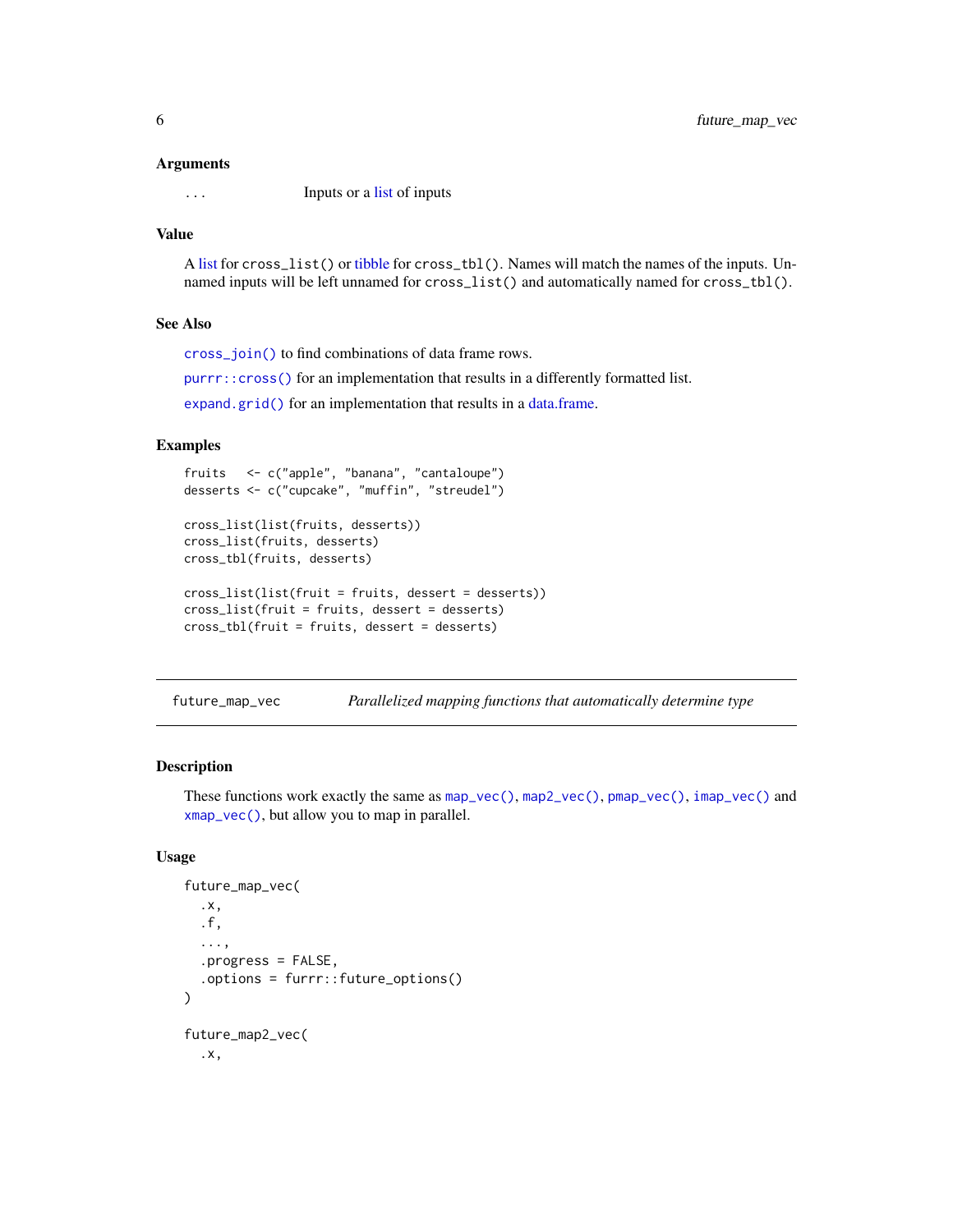<span id="page-5-0"></span>

... Inputs or a [list](#page-0-0) of inputs

#### Value

A [list](#page-0-0) for cross\_list() or [tibble](#page-0-0) for cross\_tbl(). Names will match the names of the inputs. Unnamed inputs will be left unnamed for cross\_list() and automatically named for cross\_tbl().

#### See Also

[cross\\_join\(\)](#page-3-1) to find combinations of data frame rows.

[purrr::cross\(\)](#page-0-0) for an implementation that results in a differently formatted list.

[expand.grid\(\)](#page-0-0) for an implementation that results in a [data.frame.](#page-0-0)

# Examples

```
fruits <- c("apple", "banana", "cantaloupe")
desserts <- c("cupcake", "muffin", "streudel")
cross_list(list(fruits, desserts))
cross_list(fruits, desserts)
cross_tbl(fruits, desserts)
cross_list(list(fruit = fruits, dessert = desserts))
```

```
cross_list(fruit = fruits, dessert = desserts)
cross_tbl(fruit = fruits, dessert = desserts)
```
<span id="page-5-2"></span>

| future_map_vec | Parallelized mapping functions that automatically determine type |  |
|----------------|------------------------------------------------------------------|--|
|                |                                                                  |  |

#### <span id="page-5-1"></span>Description

These functions work exactly the same as [map\\_vec\(\)](#page-12-1), [map2\\_vec\(\)](#page-12-2), [pmap\\_vec\(\)](#page-12-2), [imap\\_vec\(\)](#page-12-2) and [xmap\\_vec\(\)](#page-12-2), but allow you to map in parallel.

```
future_map_vec(
  .x,
  .f,
  ...,
  .progress = FALSE,
  .options = furrr::future_options()
)
future_map2_vec(
  .x,
```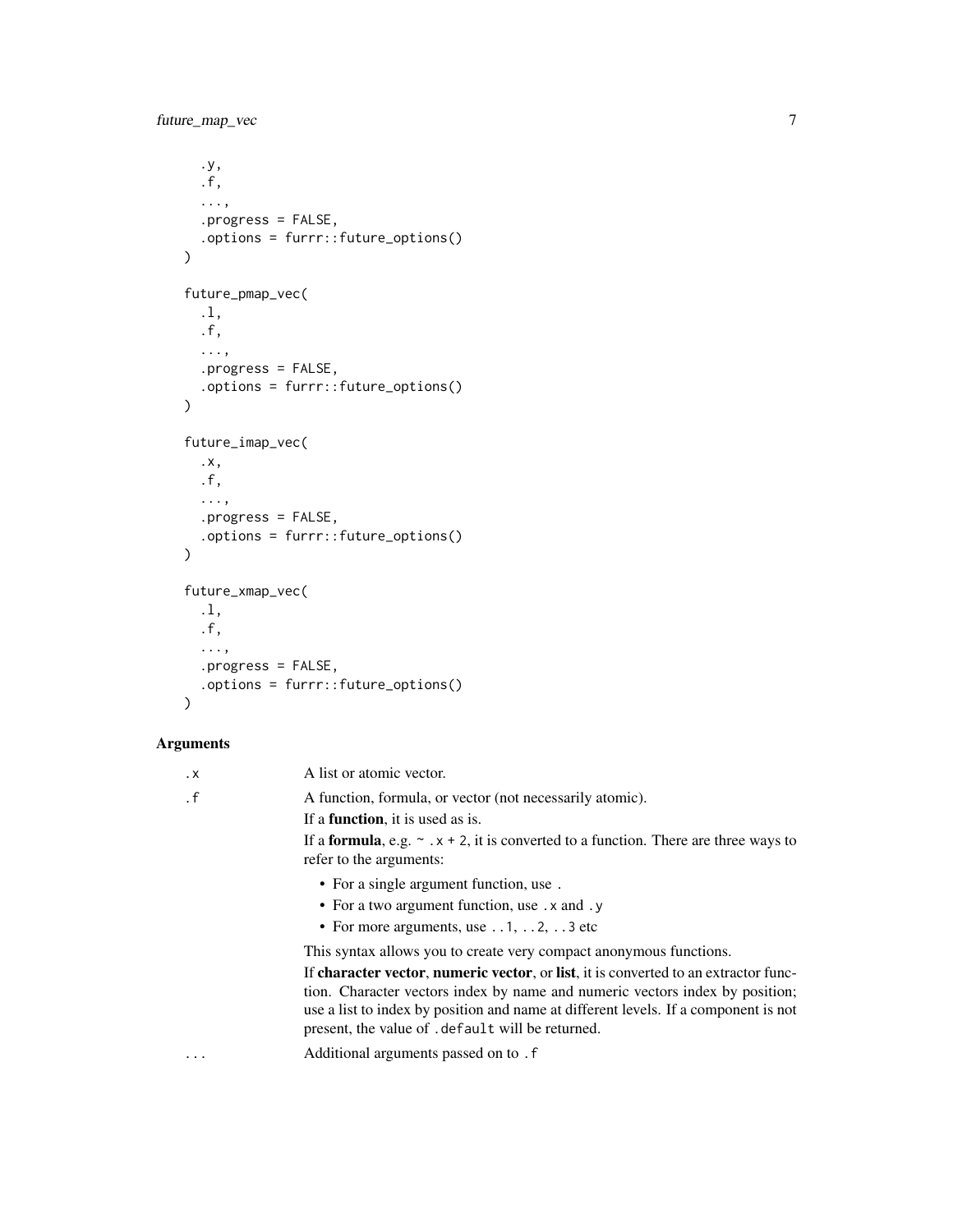```
.y,
  .f,
  ...,
  .progress = FALSE,
 .options = furrr::future_options()
\mathcal{L}future_pmap_vec(
  .l,
 .f,
  ...,
 .progress = FALSE,
 .options = furrr::future_options()
\mathcal{L}future_imap_vec(
  .x,
 .f,
 ...,
 .progress = FALSE,
 .options = furrr::future_options()
\mathcal{L}future_xmap_vec(
 .l,
 .f,
  ...,
 .progress = FALSE,
  .options = furrr::future_options()
)
```

| $\cdot$ X | A list or atomic vector.                                                                                                                                                                                                                                                                                       |
|-----------|----------------------------------------------------------------------------------------------------------------------------------------------------------------------------------------------------------------------------------------------------------------------------------------------------------------|
| $\cdot$ f | A function, formula, or vector (not necessarily atomic).                                                                                                                                                                                                                                                       |
|           | If a <b>function</b> , it is used as is.                                                                                                                                                                                                                                                                       |
|           | If a <b>formula</b> , e.g. $\sim x + 2$ , it is converted to a function. There are three ways to<br>refer to the arguments:                                                                                                                                                                                    |
|           | • For a single argument function, use.                                                                                                                                                                                                                                                                         |
|           | • For a two argument function, use . x and . y                                                                                                                                                                                                                                                                 |
|           | • For more arguments, use $\dots$ 1, $\dots$ 2, $\dots$ 3 etc                                                                                                                                                                                                                                                  |
|           | This syntax allows you to create very compact anonymous functions.                                                                                                                                                                                                                                             |
|           | If character vector, numeric vector, or list, it is converted to an extractor func-<br>tion. Character vectors index by name and numeric vectors index by position;<br>use a list to index by position and name at different levels. If a component is not<br>present, the value of .default will be returned. |
| $\cdots$  | Additional arguments passed on to . f                                                                                                                                                                                                                                                                          |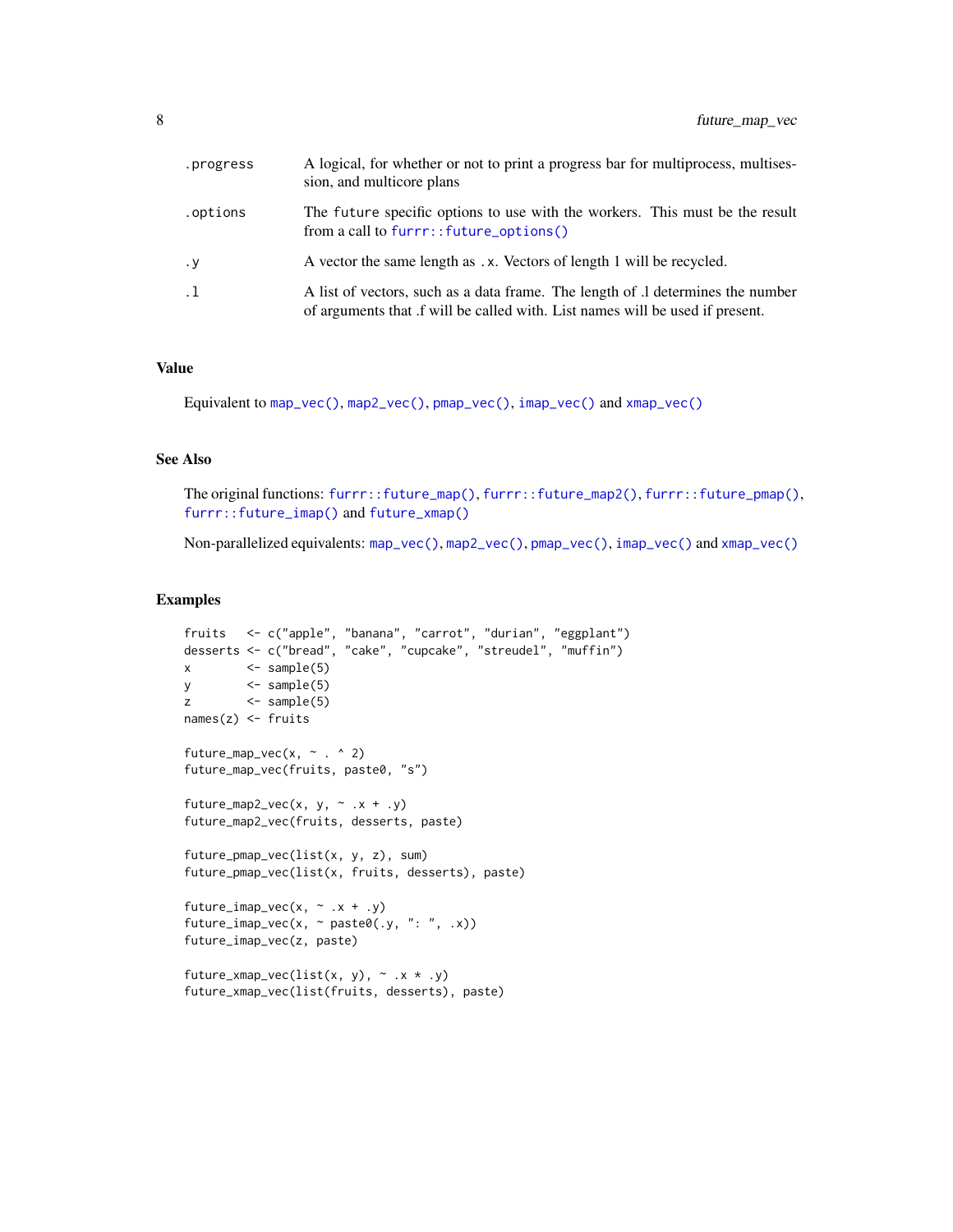<span id="page-7-0"></span>

| .progress | A logical, for whether or not to print a progress bar for multiprocess, multises-<br>sion, and multicore plans                                                  |
|-----------|-----------------------------------------------------------------------------------------------------------------------------------------------------------------|
| .options  | The future specific options to use with the workers. This must be the result<br>from a call to furrr::future_options()                                          |
| $\cdot$ y | A vector the same length as .x. Vectors of length 1 will be recycled.                                                                                           |
| $\cdot$ 1 | A list of vectors, such as a data frame. The length of .1 determines the number<br>of arguments that f will be called with. List names will be used if present. |

# Value

Equivalent to [map\\_vec\(\)](#page-12-1), [map2\\_vec\(\)](#page-12-2), [pmap\\_vec\(\)](#page-12-2), [imap\\_vec\(\)](#page-12-2) and [xmap\\_vec\(\)](#page-12-2)

#### See Also

The original functions: [furrr::future\\_map\(\)](#page-0-0), [furrr::future\\_map2\(\)](#page-0-0), [furrr::future\\_pmap\(\)](#page-0-0), [furrr::future\\_imap\(\)](#page-0-0) and [future\\_xmap\(\)](#page-8-1)

Non-parallelized equivalents: [map\\_vec\(\)](#page-12-1), [map2\\_vec\(\)](#page-12-2), [pmap\\_vec\(\)](#page-12-2), [imap\\_vec\(\)](#page-12-2) and [xmap\\_vec\(\)](#page-12-2)

```
fruits <- c("apple", "banana", "carrot", "durian", "eggplant")
desserts <- c("bread", "cake", "cupcake", "streudel", "muffin")
x \leq - sample(5)
y \leftarrow sample(5)z \leq \leq sample(5)
names(z) <- fruits
future_map_vec(x, \sim . ^ 2)
future_map_vec(fruits, paste0, "s")
future_map2_vec(x, y, \sim .x + .y)
future_map2_vec(fruits, desserts, paste)
future_pmap_vec(list(x, y, z), sum)
future_pmap_vec(list(x, fruits, desserts), paste)
future_imap_vec(x, \sim .x + .y)
future_imap_vec(x, ~ paste0(.y, ": ", .x))
future_imap_vec(z, paste)
future_xmap_vec(list(x, y), \sim .x * .y)
future_xmap_vec(list(fruits, desserts), paste)
```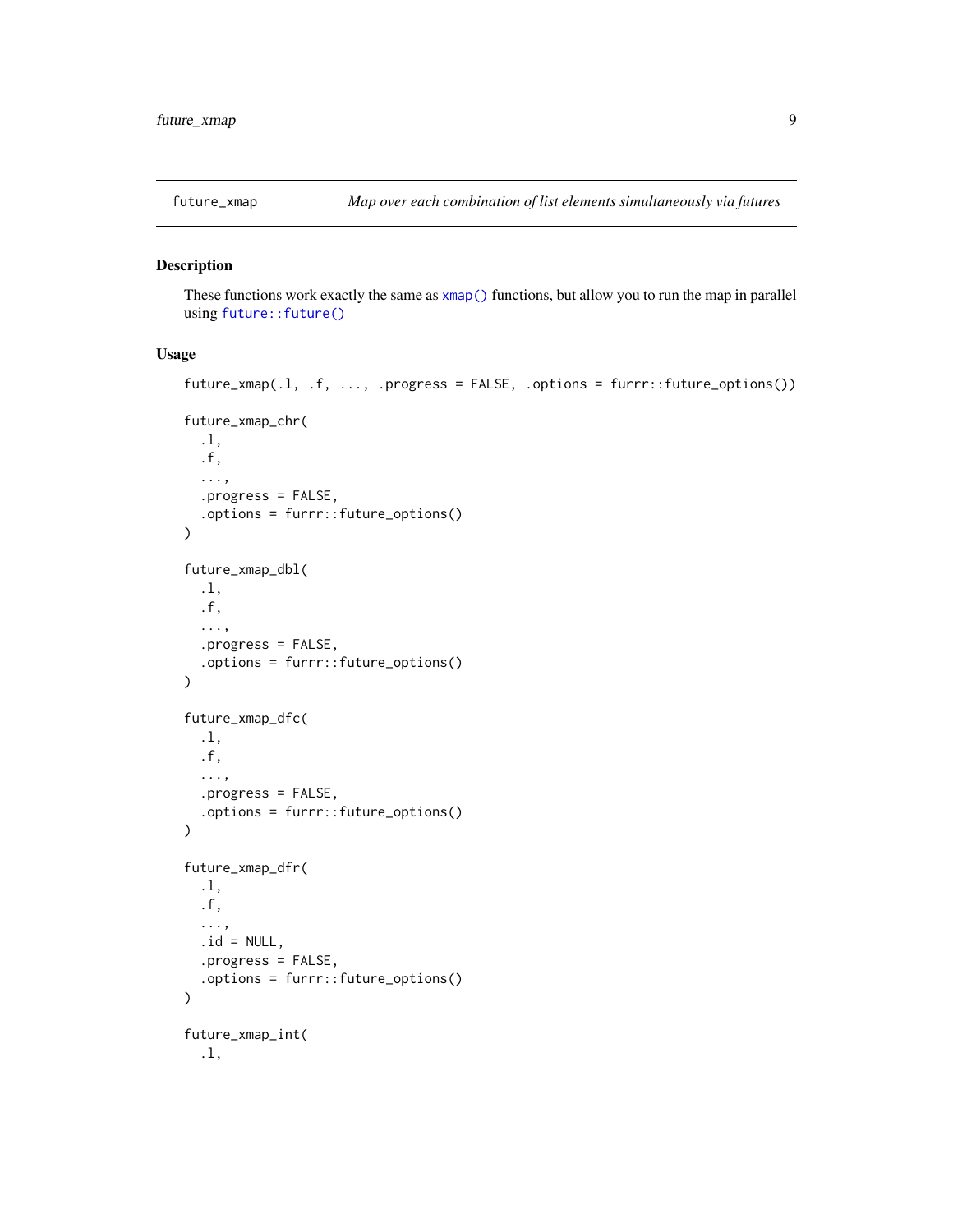<span id="page-8-1"></span><span id="page-8-0"></span>

#### Description

These functions work exactly the same as [xmap\(\)](#page-14-1) functions, but allow you to run the map in parallel using [future::future\(\)](#page-0-0)

```
future_xmap(.l, .f, ..., .progress = FALSE, .options = furrr::future_options())
future_xmap_chr(
  .l,
  .f,
  ...,
  .progress = FALSE,
  .options = furrr::future_options()
)
future_xmap_dbl(
  .l,
  .f,
  ...,
  .progress = FALSE,
  .options = furrr::future_options()
\mathcal{L}future_xmap_dfc(
  .l,
  .f,
  ...,
  .progress = FALSE,
  .options = furrr::future_options()
\mathcal{L}future_xmap_dfr(
  .l,
  .f,
  ...,
  .id = NULL,.progress = FALSE,
  .options = furrr::future_options()
\lambdafuture_xmap_int(
  .l,
```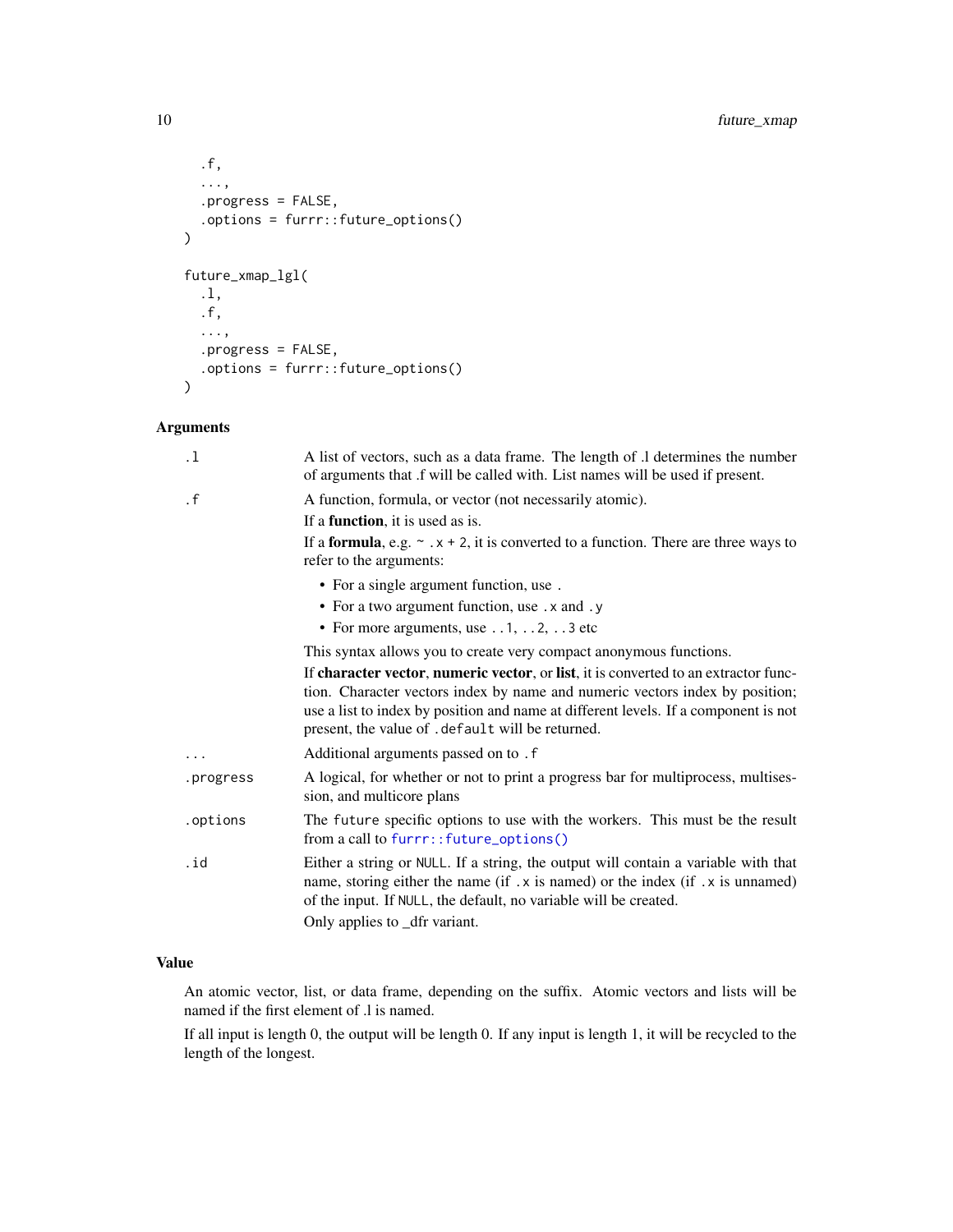```
.f,
  ...,
  .progress = FALSE,
  .options = furrr::future_options()
\mathcal{L}future_xmap_lgl(
  .l,
  .f,
  ...,
  .progress = FALSE,
 .options = furrr::future_options()
)
```

| A list of vectors, such as a data frame. The length of .1 determines the number<br>of arguments that .f will be called with. List names will be used if present.                                                                                                                                                |
|-----------------------------------------------------------------------------------------------------------------------------------------------------------------------------------------------------------------------------------------------------------------------------------------------------------------|
| A function, formula, or vector (not necessarily atomic).                                                                                                                                                                                                                                                        |
| If a <b>function</b> , it is used as is.                                                                                                                                                                                                                                                                        |
| If a <b>formula</b> , e.g. $\sim x + 2$ , it is converted to a function. There are three ways to<br>refer to the arguments:                                                                                                                                                                                     |
| • For a single argument function, use.                                                                                                                                                                                                                                                                          |
| • For a two argument function, use . x and . y                                                                                                                                                                                                                                                                  |
| • For more arguments, use $\dots$ 1, $\dots$ 2, $\dots$ 3 etc                                                                                                                                                                                                                                                   |
| This syntax allows you to create very compact anonymous functions.                                                                                                                                                                                                                                              |
| If character vector, numeric vector, or list, it is converted to an extractor func-<br>tion. Character vectors index by name and numeric vectors index by position;<br>use a list to index by position and name at different levels. If a component is not<br>present, the value of . default will be returned. |
| Additional arguments passed on to . f                                                                                                                                                                                                                                                                           |
| A logical, for whether or not to print a progress bar for multiprocess, multises-<br>sion, and multicore plans                                                                                                                                                                                                  |
| The future specific options to use with the workers. This must be the result<br>from a call to furrr:: future_options()                                                                                                                                                                                         |
| Either a string or NULL. If a string, the output will contain a variable with that<br>name, storing either the name (if .x is named) or the index (if .x is unnamed)<br>of the input. If NULL, the default, no variable will be created.<br>Only applies to _dfr variant.                                       |
|                                                                                                                                                                                                                                                                                                                 |

# Value

An atomic vector, list, or data frame, depending on the suffix. Atomic vectors and lists will be named if the first element of .l is named.

If all input is length 0, the output will be length 0. If any input is length 1, it will be recycled to the length of the longest.

<span id="page-9-0"></span>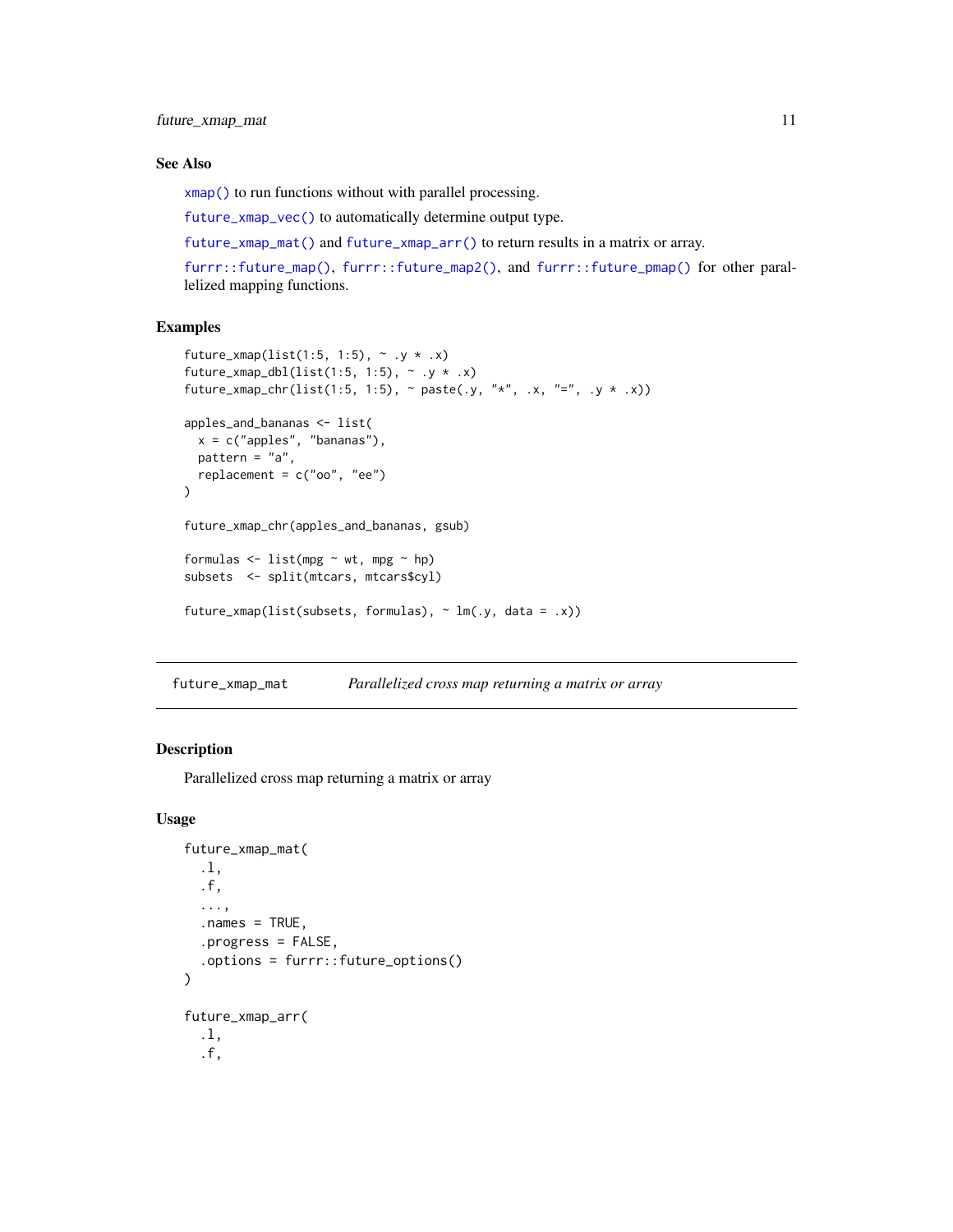<span id="page-10-0"></span>future\_xmap\_mat 11

#### See Also

[xmap\(\)](#page-14-1) to run functions without with parallel processing.

[future\\_xmap\\_vec\(\)](#page-5-1) to automatically determine output type.

[future\\_xmap\\_mat\(\)](#page-10-1) and [future\\_xmap\\_arr\(\)](#page-10-2) to return results in a matrix or array.

[furrr::future\\_map\(\)](#page-0-0), [furrr::future\\_map2\(\)](#page-0-0), and [furrr::future\\_pmap\(\)](#page-0-0) for other parallelized mapping functions.

#### Examples

```
future_xmap(list(1:5, 1:5), \sim .y * .x)
future_xmap_dbl(list(1:5, 1:5), \sim .y \star .x)
future_xmap_chr(list(1:5, 1:5), \sim paste(.y, "*", .x, "=", .y * .x))
apples_and_bananas <- list(
 x = c("apples", "bananas"),pattern = "a",replacement = c("oo", "ee")
\mathcal{L}future_xmap_chr(apples_and_bananas, gsub)
formulas \leq list(mpg \sim wt, mpg \sim hp)
subsets <- split(mtcars, mtcars$cyl)
future_xmap(list(subsets, formulas), \sim lm(.y, data = .x))
```
<span id="page-10-1"></span>future\_xmap\_mat *Parallelized cross map returning a matrix or array*

#### <span id="page-10-2"></span>Description

Parallelized cross map returning a matrix or array

```
future_xmap_mat(
  .l,
  .f,
  ...,
  . names = TRUE,.progress = FALSE,
  .options = furrr::future_options()
\lambdafuture_xmap_arr(
  .l,
  .f,
```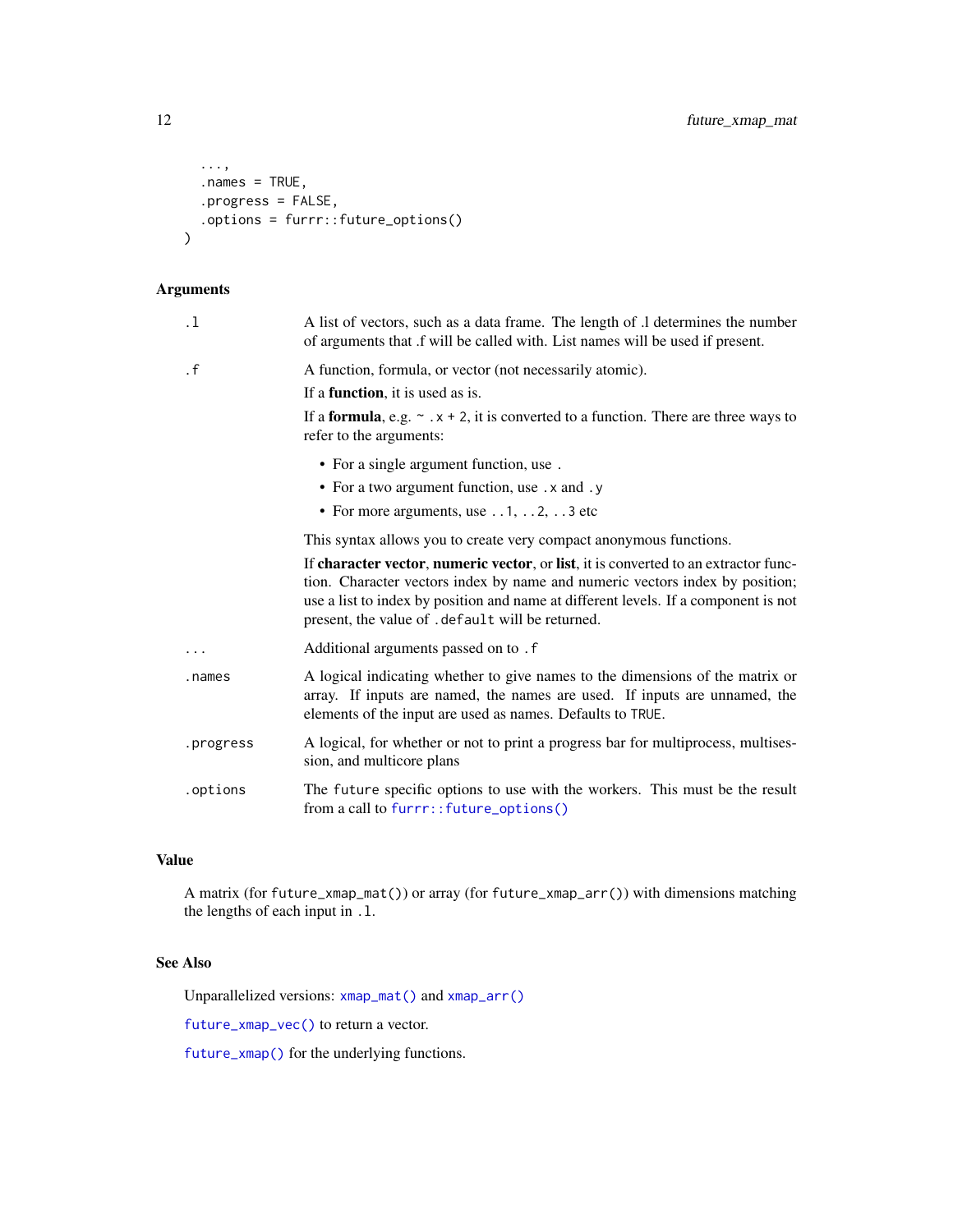```
...,
  .names = TRUE,
  .progress = FALSE,
  .options = furrr::future_options()
\overline{\phantom{a}}
```

| $\cdot$ 1 | A list of vectors, such as a data frame. The length of .1 determines the number<br>of arguments that .f will be called with. List names will be used if present.                                                                                                                                                |
|-----------|-----------------------------------------------------------------------------------------------------------------------------------------------------------------------------------------------------------------------------------------------------------------------------------------------------------------|
| $\cdot$ f | A function, formula, or vector (not necessarily atomic).                                                                                                                                                                                                                                                        |
|           | If a <b>function</b> , it is used as is.                                                                                                                                                                                                                                                                        |
|           | If a <b>formula</b> , e.g. $\sim x + 2$ , it is converted to a function. There are three ways to<br>refer to the arguments:                                                                                                                                                                                     |
|           | • For a single argument function, use.                                                                                                                                                                                                                                                                          |
|           | • For a two argument function, use . x and . y                                                                                                                                                                                                                                                                  |
|           | • For more arguments, use $\dots$ 1, $\dots$ 2, $\dots$ 3 etc                                                                                                                                                                                                                                                   |
|           | This syntax allows you to create very compact anonymous functions.                                                                                                                                                                                                                                              |
|           | If character vector, numeric vector, or list, it is converted to an extractor func-<br>tion. Character vectors index by name and numeric vectors index by position;<br>use a list to index by position and name at different levels. If a component is not<br>present, the value of . default will be returned. |
| .         | Additional arguments passed on to . f                                                                                                                                                                                                                                                                           |
| .names    | A logical indicating whether to give names to the dimensions of the matrix or<br>array. If inputs are named, the names are used. If inputs are unnamed, the<br>elements of the input are used as names. Defaults to TRUE.                                                                                       |
| .progress | A logical, for whether or not to print a progress bar for multiprocess, multises-<br>sion, and multicore plans                                                                                                                                                                                                  |
| .options  | The future specific options to use with the workers. This must be the result<br>from a call to furrr::future_options()                                                                                                                                                                                          |
|           |                                                                                                                                                                                                                                                                                                                 |

# Value

A matrix (for future\_xmap\_mat()) or array (for future\_xmap\_arr()) with dimensions matching the lengths of each input in .l.

# See Also

Unparallelized versions: [xmap\\_mat\(\)](#page-16-1) and [xmap\\_arr\(\)](#page-16-2)

[future\\_xmap\\_vec\(\)](#page-5-1) to return a vector.

[future\\_xmap\(\)](#page-8-1) for the underlying functions.

<span id="page-11-0"></span>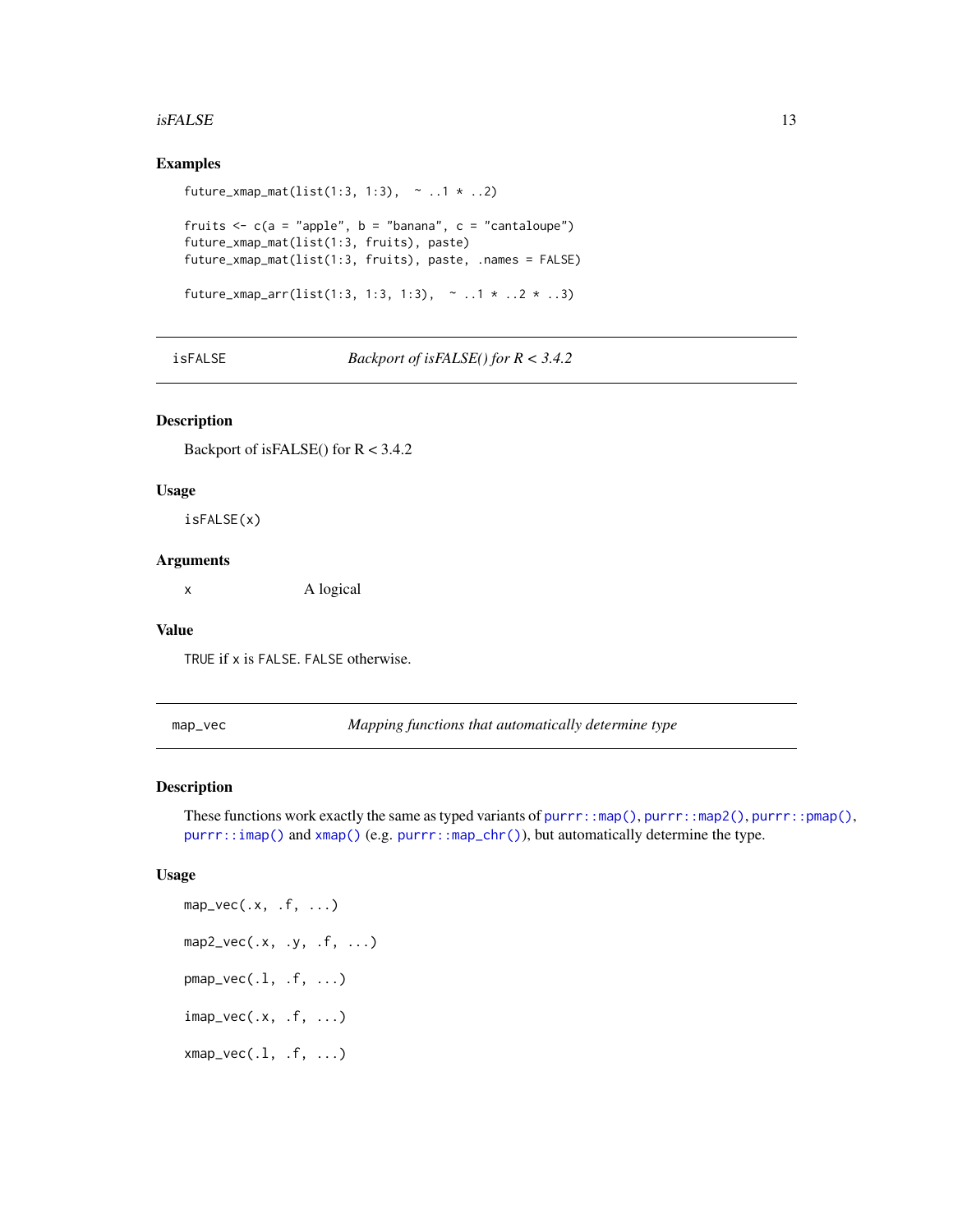#### <span id="page-12-0"></span> $isFALSE$  13

#### Examples

```
future_xmap_mat(list(1:3, 1:3), \sim ..1 \star ..2)
fruits \leq c (a = "apple", b = "banana", c = "cantaloupe")
future_xmap_mat(list(1:3, fruits), paste)
future_xmap_mat(list(1:3, fruits), paste, .names = FALSE)
future_xmap_arr(list(1:3, 1:3, 1:3), \sim ..1 * ..2 * ..3)
```
isFALSE *Backport of isFALSE() for R < 3.4.2*

# Description

Backport of isFALSE() for R < 3.4.2

#### Usage

isFALSE(x)

#### Arguments

x A logical

#### Value

TRUE if x is FALSE. FALSE otherwise.

<span id="page-12-1"></span>map\_vec *Mapping functions that automatically determine type*

# <span id="page-12-2"></span>Description

These functions work exactly the same as typed variants of [purrr::map\(\)](#page-0-0), [purrr::map2\(\)](#page-0-0), [purrr::pmap\(\)](#page-0-0), [purrr::imap\(\)](#page-0-0) and [xmap\(\)](#page-14-1) (e.g. [purrr::map\\_chr\(\)](#page-0-0)), but automatically determine the type.

```
map\_vec(.x, .f, . . .)map2\_vec(.x, .y, .f, . . .)pmap\_vec(.1, .f, . . .)imap_vec(.x, .f, ...)
xmap\_vec(.1, .f, ....)
```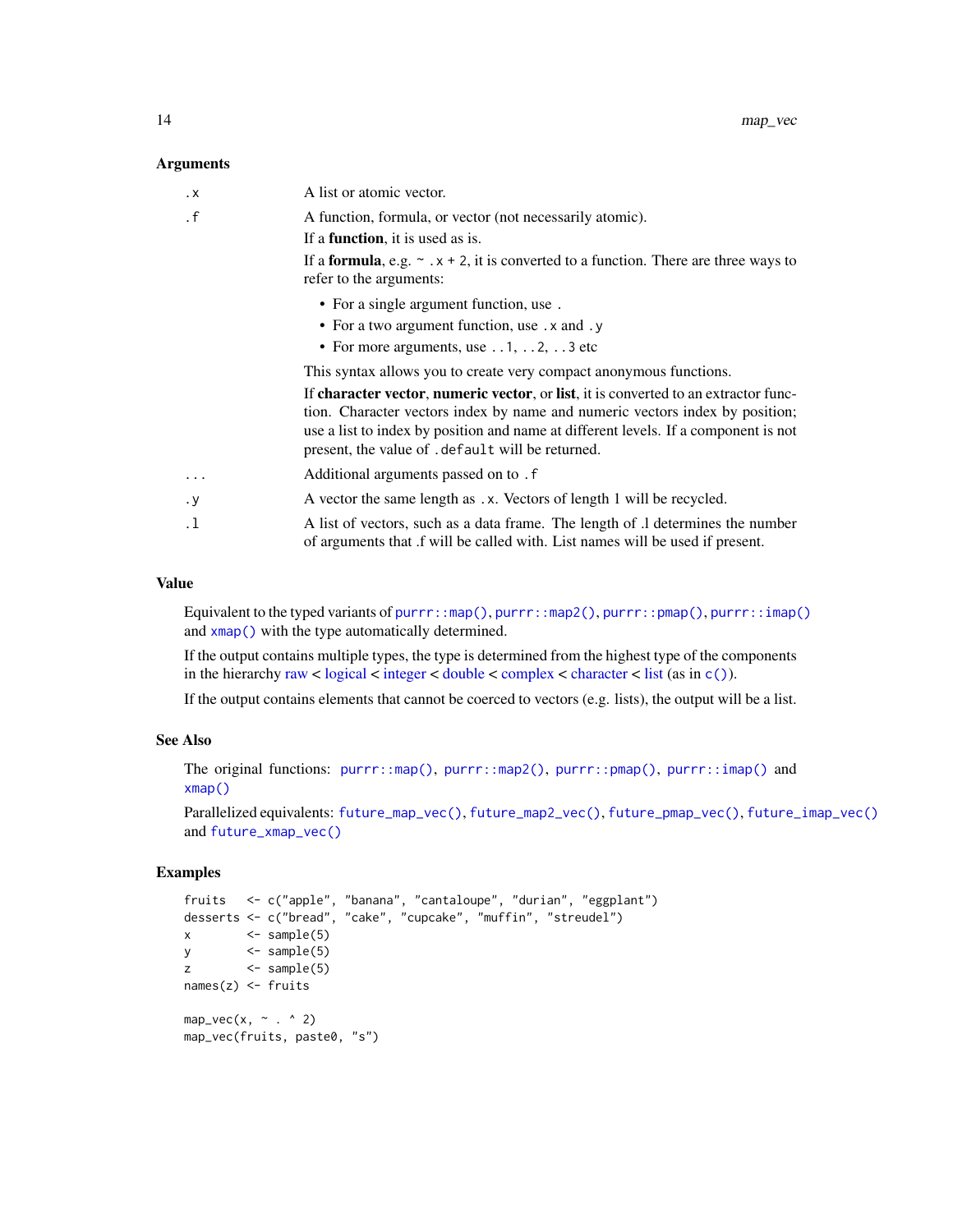<span id="page-13-0"></span>

| . X       | A list or atomic vector.                                                                                                                                                                                                                                                                                        |
|-----------|-----------------------------------------------------------------------------------------------------------------------------------------------------------------------------------------------------------------------------------------------------------------------------------------------------------------|
| $\cdot$ f | A function, formula, or vector (not necessarily atomic).                                                                                                                                                                                                                                                        |
|           | If a <b>function</b> , it is used as is.                                                                                                                                                                                                                                                                        |
|           | If a <b>formula</b> , e.g. $\sim x + 2$ , it is converted to a function. There are three ways to<br>refer to the arguments:                                                                                                                                                                                     |
|           | • For a single argument function, use.                                                                                                                                                                                                                                                                          |
|           | • For a two argument function, use . x and . y                                                                                                                                                                                                                                                                  |
|           | • For more arguments, use $\dots$ 1, $\dots$ 2, $\dots$ 3 etc                                                                                                                                                                                                                                                   |
|           | This syntax allows you to create very compact anonymous functions.                                                                                                                                                                                                                                              |
|           | If character vector, numeric vector, or list, it is converted to an extractor func-<br>tion. Character vectors index by name and numeric vectors index by position;<br>use a list to index by position and name at different levels. If a component is not<br>present, the value of . default will be returned. |
| $\cdots$  | Additional arguments passed on to . f                                                                                                                                                                                                                                                                           |
| . у       | A vector the same length as .x. Vectors of length 1 will be recycled.                                                                                                                                                                                                                                           |
| . 1       | A list of vectors, such as a data frame. The length of .1 determines the number<br>of arguments that if will be called with. List names will be used if present.                                                                                                                                                |

#### Value

Equivalent to the typed variants of [purrr::map\(\)](#page-0-0), [purrr::map2\(\)](#page-0-0), [purrr::pmap\(\)](#page-0-0), [purrr::imap\(\)](#page-0-0) and [xmap\(\)](#page-14-1) with the type automatically determined.

If the output contains multiple types, the type is determined from the highest type of the components in the hierarchy [raw](#page-0-0) < [logical](#page-0-0) < [integer](#page-0-0) < [double](#page-0-0) < [complex](#page-0-0) < [character](#page-0-0) < [list](#page-0-0) (as in  $c()$ ).

If the output contains elements that cannot be coerced to vectors (e.g. lists), the output will be a list.

# See Also

The original functions: [purrr::map\(\)](#page-0-0), [purrr::map2\(\)](#page-0-0), [purrr::pmap\(\)](#page-0-0), [purrr::imap\(\)](#page-0-0) and [xmap\(\)](#page-14-1)

Parallelized equivalents: [future\\_map\\_vec\(\)](#page-5-2), [future\\_map2\\_vec\(\)](#page-5-1), [future\\_pmap\\_vec\(\)](#page-5-1), [future\\_imap\\_vec\(\)](#page-5-1) and [future\\_xmap\\_vec\(\)](#page-5-1)

```
fruits <- c("apple", "banana", "cantaloupe", "durian", "eggplant")
desserts <- c("bread", "cake", "cupcake", "muffin", "streudel")
x \leftarrow sample(5)
y \leq - sample(5)
z \sim <- sample(5)
names(z) <- fruits
map_vec(x, \sim . ^ 2)
map_vec(fruits, paste0, "s")
```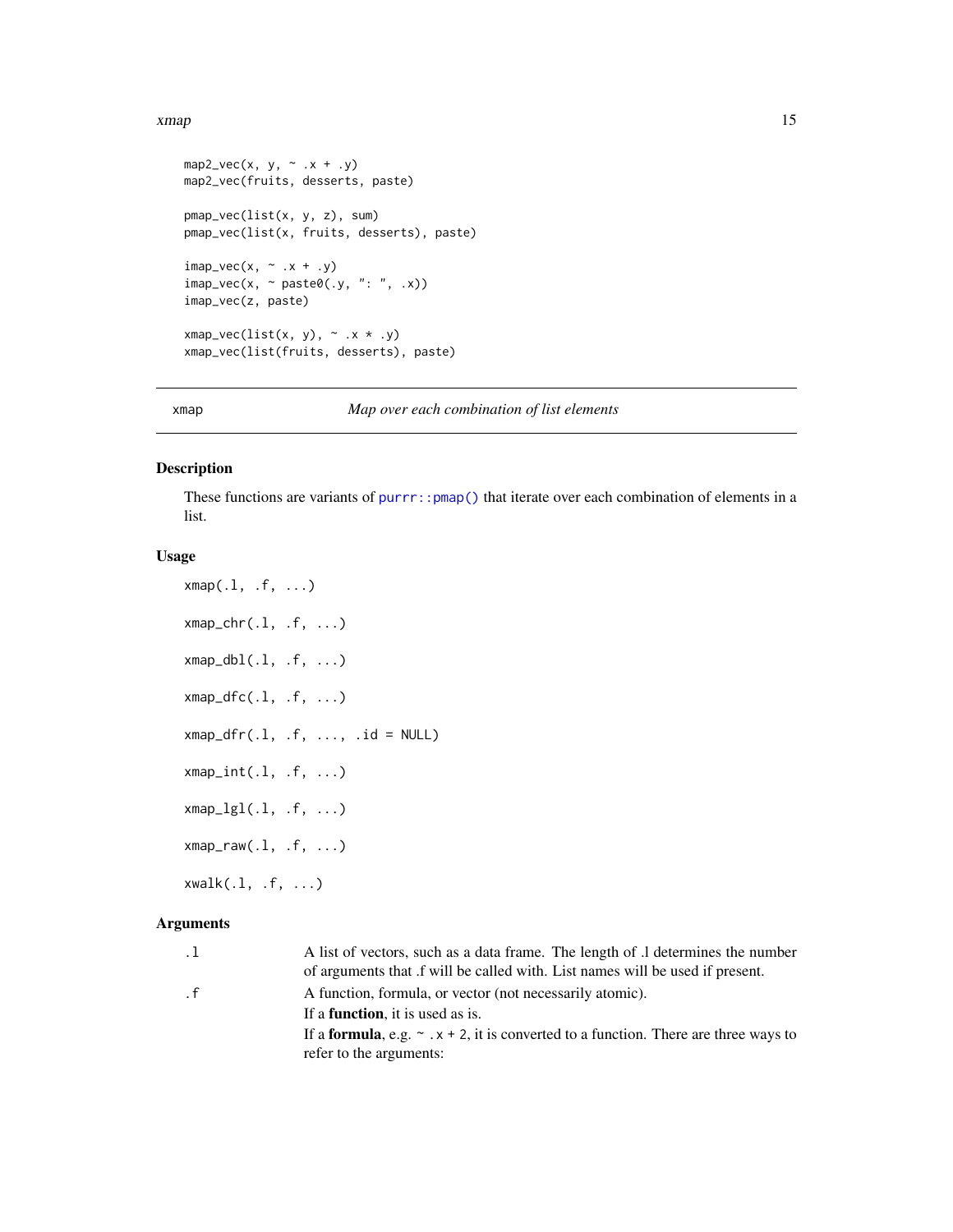#### <span id="page-14-0"></span>xmap 2.15

```
map2\_vec(x, y, ~ ~ x + .y)map2_vec(fruits, desserts, paste)
pmap_vec(list(x, y, z), sum)
pmap_vec(list(x, fruits, desserts), paste)
\text{image\_vec}(x, \text{ and } x + .y)\text{imap\_vec}(x, \text{ ~} \text{past} \text{ } \theta(.y, \text{ '': } \text{ ''}, \text{ .} x))imap_vec(z, paste)
xmap\_vec(list(x, y), ~ ~ x \cdot x \cdot y)xmap_vec(list(fruits, desserts), paste)
```
<span id="page-14-1"></span>xmap *Map over each combination of list elements*

#### Description

These functions are variants of [purrr::pmap\(\)](#page-0-0) that iterate over each combination of elements in a list.

#### Usage

```
xmap(.1, .f, . . .)xmap_{chr(.1, .f, . . .)}xmap_dbl(.1, .f, ....)xmap_dfc(.1, .f, ...)
xmap_dfr(.1, .f, . . . , .id = NULL)xmap_int(.l, .f, ...)
xmap_{l}gl(.1, .f, . . .)xmap_{raw(.1, .f, . . .)}xwalk(.l, .f, ...)
```

| $\cdot$ 1 | A list of vectors, such as a data frame. The length of $\Lambda$ determines the number           |
|-----------|--------------------------------------------------------------------------------------------------|
|           | of arguments that if will be called with. List names will be used if present.                    |
| $\cdot$ f | A function, formula, or vector (not necessarily atomic).                                         |
|           | If a <b>function</b> , it is used as is.                                                         |
|           | If a <b>formula</b> , e.g. $\sim x + 2$ , it is converted to a function. There are three ways to |
|           | refer to the arguments:                                                                          |
|           |                                                                                                  |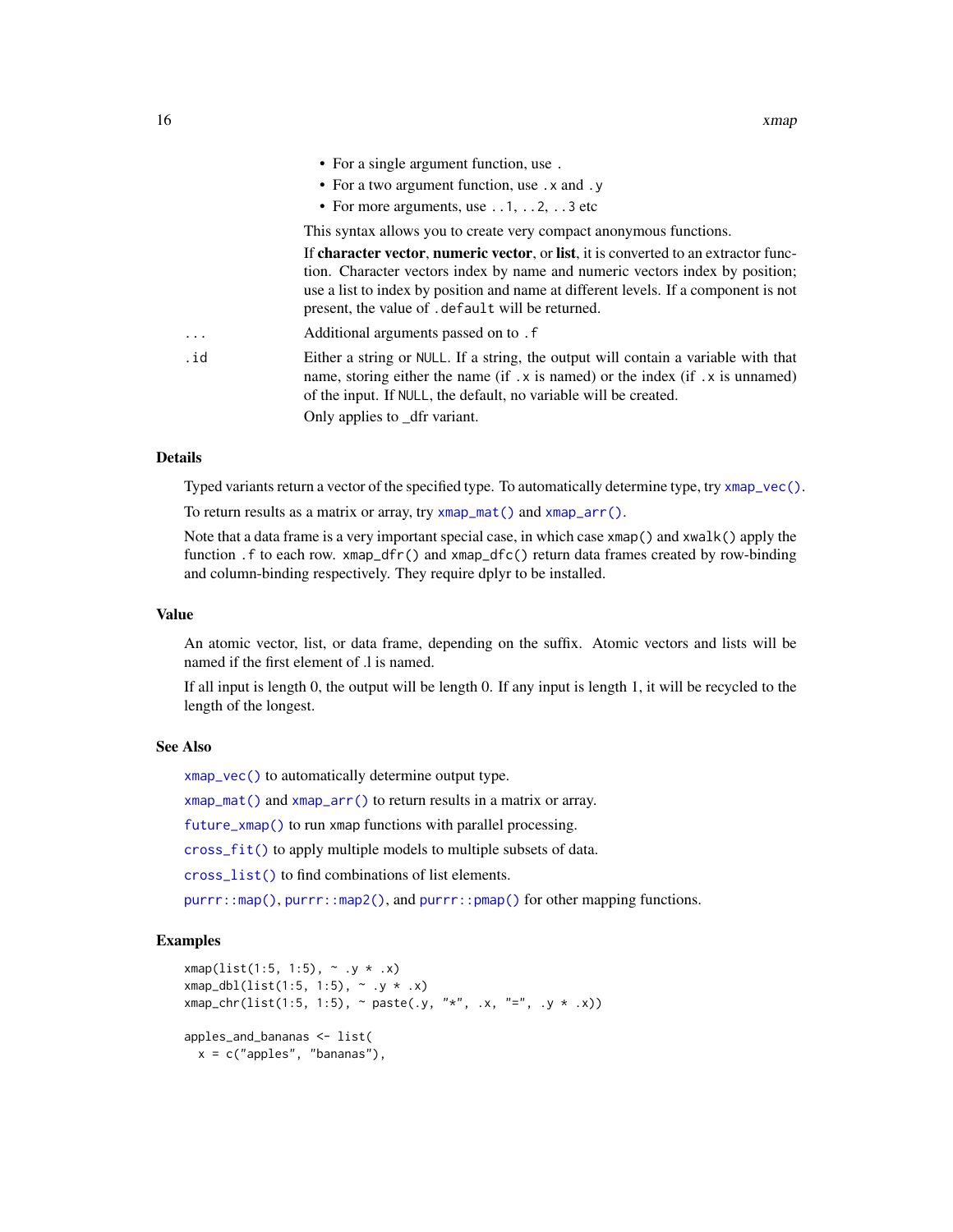<span id="page-15-0"></span>

|          | • For a single argument function, use.                                                                                                                                                                                                                                                                          |
|----------|-----------------------------------------------------------------------------------------------------------------------------------------------------------------------------------------------------------------------------------------------------------------------------------------------------------------|
|          | • For a two argument function, use . x and . y                                                                                                                                                                                                                                                                  |
|          | • For more arguments, use $\dots$ 1, $\dots$ 2, $\dots$ 3 etc                                                                                                                                                                                                                                                   |
|          | This syntax allows you to create very compact anonymous functions.                                                                                                                                                                                                                                              |
|          | If character vector, numeric vector, or list, it is converted to an extractor func-<br>tion. Character vectors index by name and numeric vectors index by position;<br>use a list to index by position and name at different levels. If a component is not<br>present, the value of . default will be returned. |
| $\cdots$ | Additional arguments passed on to . f                                                                                                                                                                                                                                                                           |
| .id      | Either a string or NULL. If a string, the output will contain a variable with that<br>name, storing either the name (if $\cdot$ x is named) or the index (if $\cdot$ x is unnamed)<br>of the input. If NULL, the default, no variable will be created.<br>Only applies to _dfr variant.                         |
|          |                                                                                                                                                                                                                                                                                                                 |

# Details

Typed variants return a vector of the specified type. To automatically determine type, try [xmap\\_vec\(\)](#page-12-2).

To return results as a matrix or array, try [xmap\\_mat\(\)](#page-16-1) and [xmap\\_arr\(\)](#page-16-2).

Note that a data frame is a very important special case, in which case  $xmap()$  and  $xwalk()$  apply the function .f to each row. xmap\_dfr() and xmap\_dfc() return data frames created by row-binding and column-binding respectively. They require dplyr to be installed.

#### Value

An atomic vector, list, or data frame, depending on the suffix. Atomic vectors and lists will be named if the first element of .l is named.

If all input is length 0, the output will be length 0. If any input is length 1, it will be recycled to the length of the longest.

#### See Also

[xmap\\_vec\(\)](#page-12-2) to automatically determine output type.

[xmap\\_mat\(\)](#page-16-1) and [xmap\\_arr\(\)](#page-16-2) to return results in a matrix or array.

[future\\_xmap\(\)](#page-8-1) to run xmap functions with parallel processing.

[cross\\_fit\(\)](#page-2-1) to apply multiple models to multiple subsets of data.

[cross\\_list\(\)](#page-4-1) to find combinations of list elements.

[purrr::map\(\)](#page-0-0), [purrr::map2\(\)](#page-0-0), and [purrr::pmap\(\)](#page-0-0) for other mapping functions.

```
xmap(list(1:5, 1:5), ~ ~ .y ~ * ~ .x)xmap_dbl(list(1:5, 1:5), ~ ~ .y ~ * ~ .x)xmap_{\text{c}}\text{chr}(list(1:5, 1:5), \text{ and } x^* = x^*, \text{ or } x^* = x^*, \text{ or } x^* = x^*apples_and_bananas <- list(
  x = c("apples", "bananas"),
```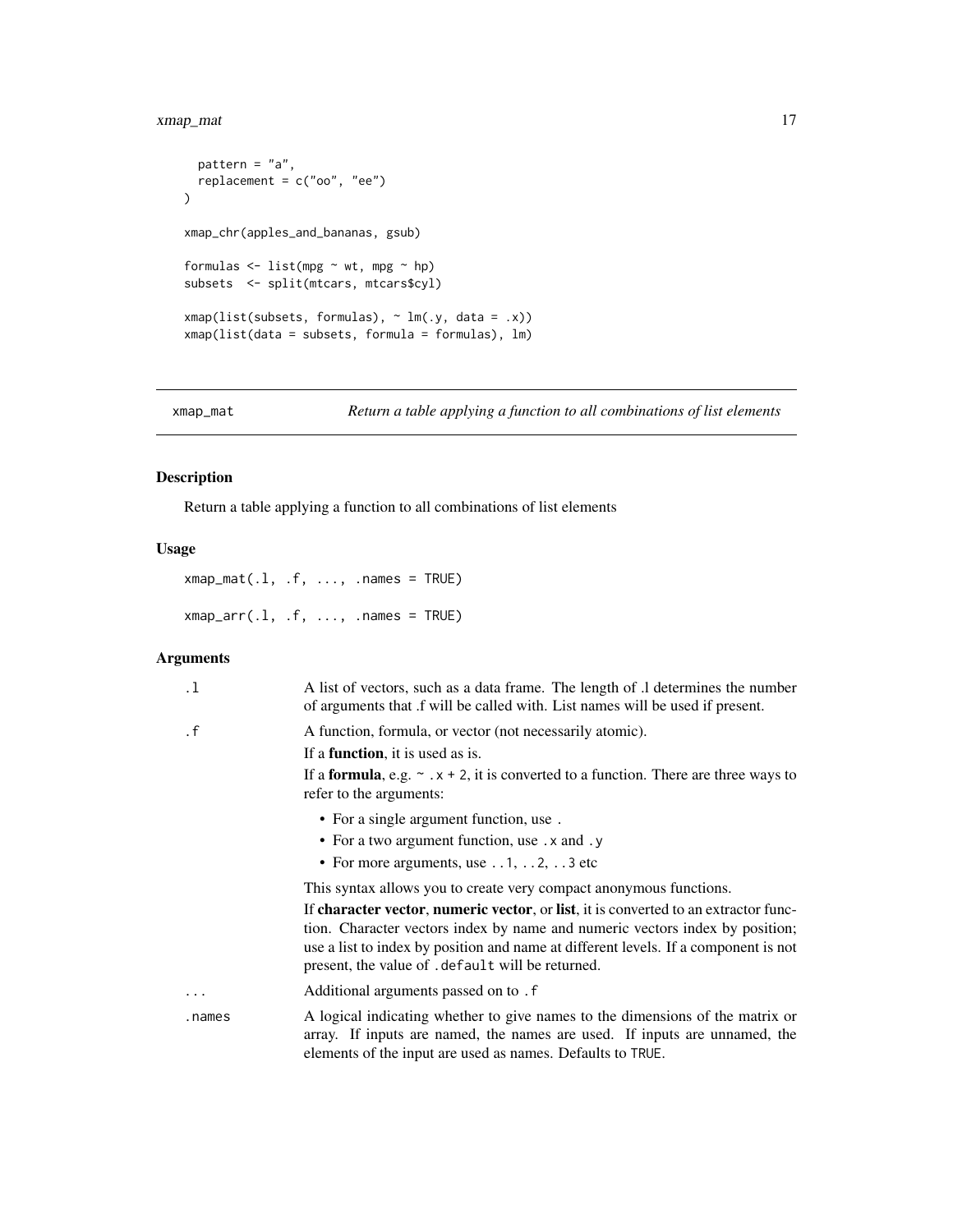# <span id="page-16-0"></span>xmap\_mat 17

```
pattern = "a",replacement = c("oo", "ee")
\mathcal{L}xmap_chr(apples_and_bananas, gsub)
formulas \leq - list(mpg \sim wt, mpg \sim hp)
subsets <- split(mtcars, mtcars$cyl)
xmap(list(subsets, formulas), ~ m(x, data = .x))xmap(list(data = subsets, formula = formulas), lm)
```
<span id="page-16-1"></span>xmap\_mat *Return a table applying a function to all combinations of list elements*

# <span id="page-16-2"></span>Description

Return a table applying a function to all combinations of list elements

# Usage

 $xmap\_mat(.1, .f, . . . , . names = TRUE)$  $xmap\_arr(.1, .f, . . . , . names = TRUE)$ 

| $\cdot$ 1 | A list of vectors, such as a data frame. The length of .1 determines the number<br>of arguments that f will be called with. List names will be used if present.                                                                                                                                                 |
|-----------|-----------------------------------------------------------------------------------------------------------------------------------------------------------------------------------------------------------------------------------------------------------------------------------------------------------------|
| $\cdot$ f | A function, formula, or vector (not necessarily atomic).                                                                                                                                                                                                                                                        |
|           | If a <b>function</b> , it is used as is.                                                                                                                                                                                                                                                                        |
|           | If a <b>formula</b> , e.g. $\sim x + 2$ , it is converted to a function. There are three ways to<br>refer to the arguments:                                                                                                                                                                                     |
|           | • For a single argument function, use.                                                                                                                                                                                                                                                                          |
|           | • For a two argument function, use . x and . y                                                                                                                                                                                                                                                                  |
|           | • For more arguments, use $\dots$ 1, $\dots$ 2, $\dots$ 3 etc                                                                                                                                                                                                                                                   |
|           | This syntax allows you to create very compact anonymous functions.                                                                                                                                                                                                                                              |
|           | If character vector, numeric vector, or list, it is converted to an extractor func-<br>tion. Character vectors index by name and numeric vectors index by position;<br>use a list to index by position and name at different levels. If a component is not<br>present, the value of . default will be returned. |
| $\cdots$  | Additional arguments passed on to . f                                                                                                                                                                                                                                                                           |
| .names    | A logical indicating whether to give names to the dimensions of the matrix or<br>array. If inputs are named, the names are used. If inputs are unnamed, the<br>elements of the input are used as names. Defaults to TRUE.                                                                                       |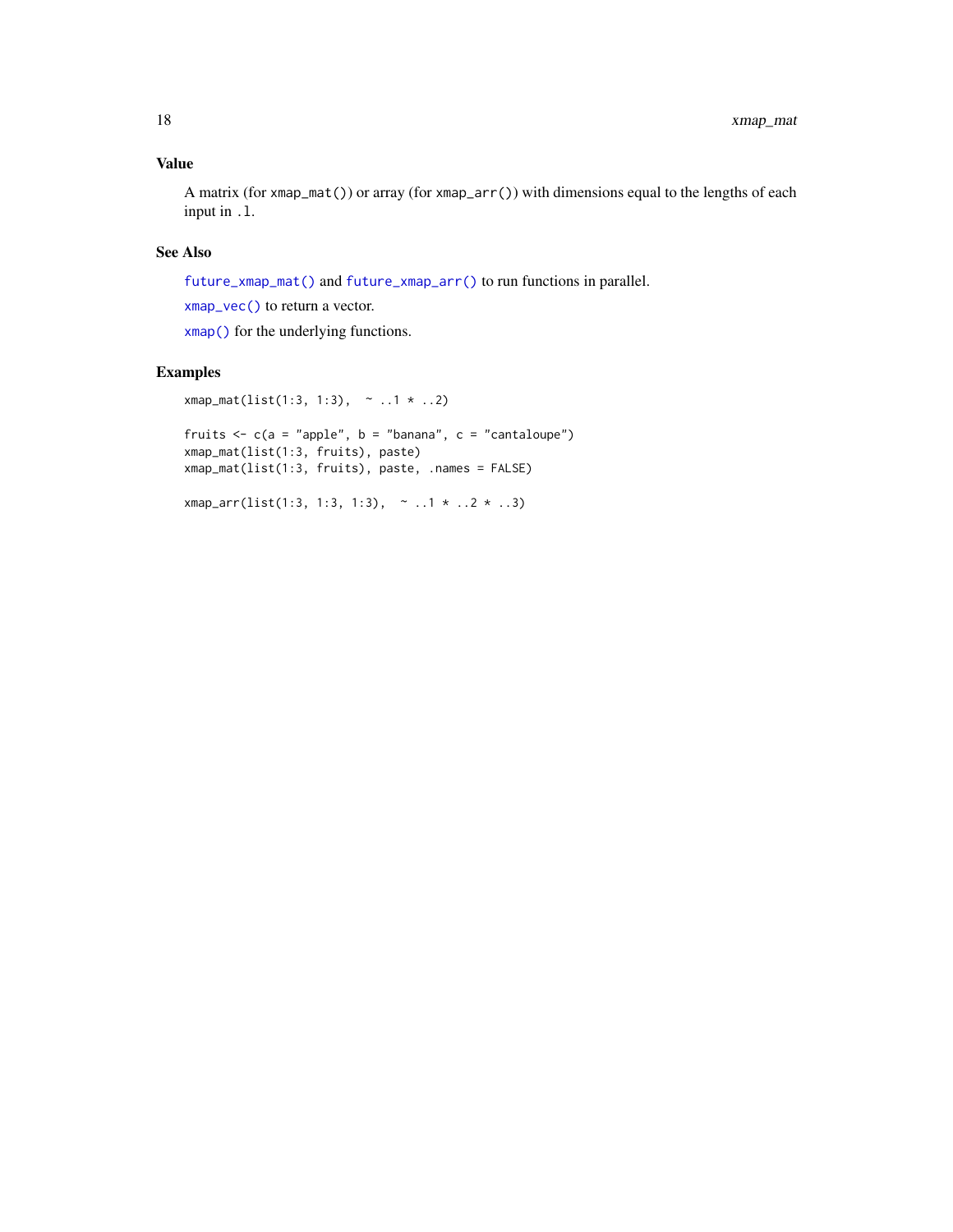# <span id="page-17-0"></span>Value

A matrix (for xmap\_mat()) or array (for xmap\_arr()) with dimensions equal to the lengths of each input in .l.

# See Also

[future\\_xmap\\_mat\(\)](#page-10-1) and [future\\_xmap\\_arr\(\)](#page-10-2) to run functions in parallel.

[xmap\\_vec\(\)](#page-12-2) to return a vector.

[xmap\(\)](#page-14-1) for the underlying functions.

# Examples

```
xmap_matrix(list(1:3, 1:3), ~ ~ ~ .1 * . .2)
```
fruits  $\leq c$  (a = "apple", b = "banana", c = "cantaloupe") xmap\_mat(list(1:3, fruits), paste) xmap\_mat(list(1:3, fruits), paste, .names = FALSE)

```
xmap_arr(list(1:3, 1:3, 1:3), ~ ..1 * ..2 * ..3)
```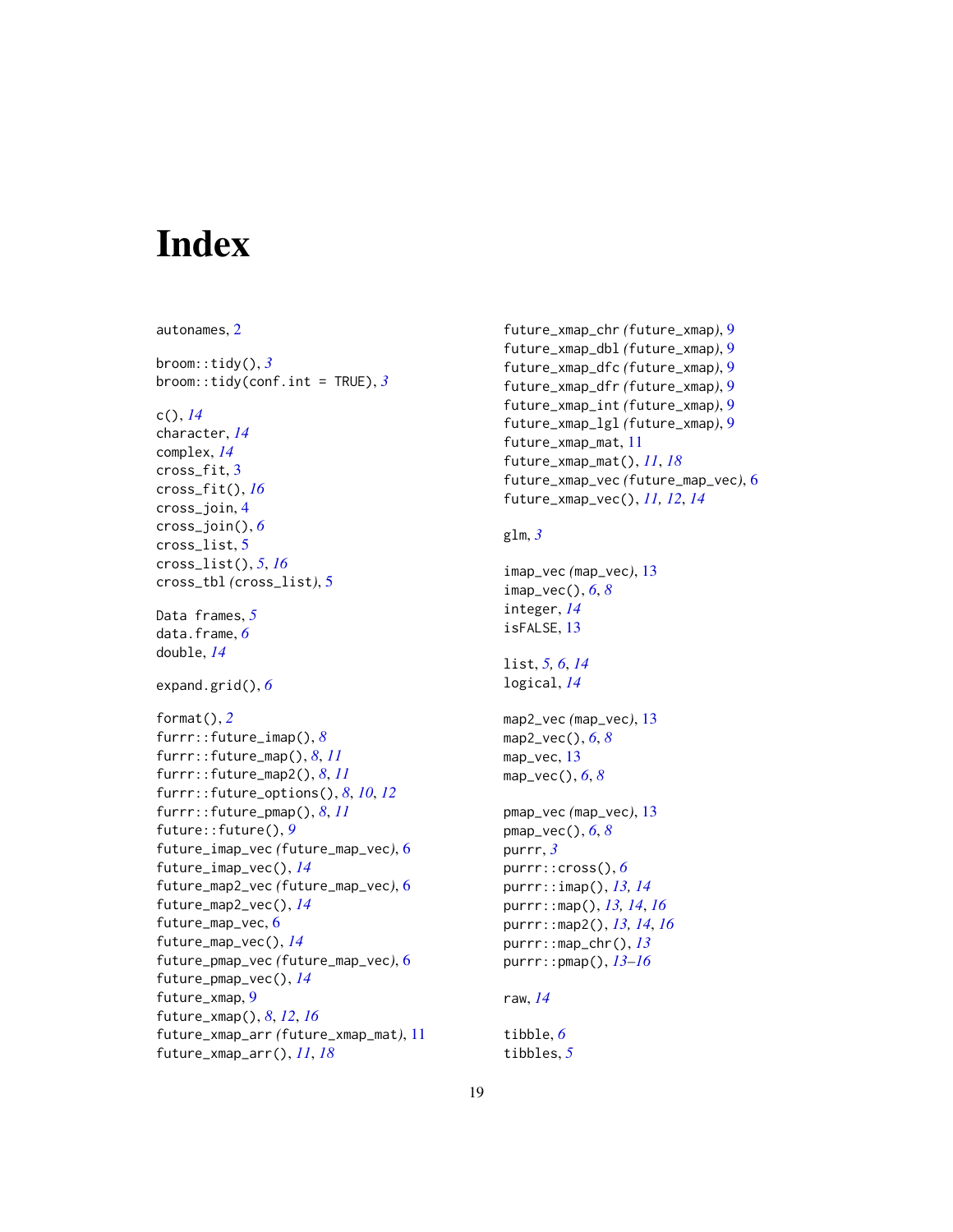# <span id="page-18-0"></span>Index

```
autonames, 2
broom::tidy(), 3
broom::tidy(conf.int = TRUE), 3
c(), 14
character, 14
complex, 14
cross_fit, 3
cross_fit(), 16
cross_join, 4
cross_join(), 6
cross_list, 5
cross_list(), 5, 16
cross_tbl (cross_list), 5
Data frames, 5
data.frame, 6
double, 14
expand.grid(), 6
format(), 2
furrr::future_imap(), 8
furrr::future_map(), 8, 11
furrr::future_map2(), 8, 11
furrr::future_options(), 8, 10, 12
furrr::future_pmap(), 8, 11
future::future(), 9
future_imap_vec (future_map_vec), 6
future_imap_vec(), 14
future_map2_vec (future_map_vec), 6
future_map2_vec(), 14
future_map_vec, 6
future_map_vec(), 14
future_pmap_vec (future_map_vec), 6
future_pmap_vec(), 14
future_xmap, 9
future_xmap(), 8, 12, 16
future_xmap_arr (future_xmap_mat), 11
future_xmap_arr(), 11, 18
```
future\_xmap\_chr *(*future\_xmap*)*, [9](#page-8-0) future\_xmap\_dbl *(*future\_xmap*)*, [9](#page-8-0) future\_xmap\_dfc *(*future\_xmap*)*, [9](#page-8-0) future\_xmap\_dfr *(*future\_xmap*)*, [9](#page-8-0) future\_xmap\_int *(*future\_xmap*)*, [9](#page-8-0) future\_xmap\_lgl *(*future\_xmap*)*, [9](#page-8-0) future\_xmap\_mat, [11](#page-10-0) future\_xmap\_mat(), *[11](#page-10-0)*, *[18](#page-17-0)* future\_xmap\_vec *(*future\_map\_vec*)*, [6](#page-5-0) future\_xmap\_vec(), *[11,](#page-10-0) [12](#page-11-0)*, *[14](#page-13-0)*

#### glm, *[3](#page-2-0)*

```
imap_vec (map_vec), 13
imap_vec(), 6, 8
integer, 14
isFALSE, 13
```

```
list, 5, 6, 14
logical, 14
```

```
map2_vec (map_vec), 13
map2_vec(), 6, 8
map_vec, 13
map_vec(), 6, 8
```

```
pmap_vec (map_vec), 13
pmap_vec(), 6, 8
purrr, 3
purrr::cross(), 6
purrr::imap(), 13, 14
purrr::map(), 13, 14, 16
purrr::map2(), 13, 14, 16
purrr::map_chr(), 13
purrr::pmap(), 13–16
```

```
raw, 14
```

```
tibble, 6
tibbles, 5
```